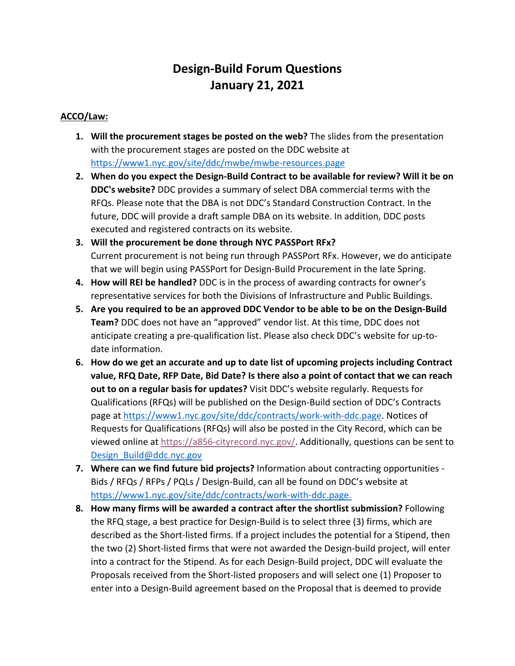# **Design-Build Forum Questions January 21, 2021**

### **ACCO/Law:**

- **1. Will the procurement stages be posted on the web?** The slides from the presentation with the procurement stages are posted on the DDC website at https://www1.nyc.gov/site/ddc/mwbe/mwbe-resources.page
- **2. When do you expect the Design-Build Contract to be available for review? Will it be on DDC's website?** DDC provides a summary of select DBA commercial terms with the RFQs. Please note that the DBA is not DDC's Standard Construction Contract. In the future, DDC will provide a draft sample DBA on its website. In addition, DDC posts executed and registered contracts on its website.
- **3. Will the procurement be done through NYC PASSPort RFx?** Current procurement is not being run through PASSPort RFx. However, we do anticipate that we will begin using PASSPort for Design-Build Procurement in the late Spring.
- **4. How will REI be handled?** DDC is in the process of awarding contracts for owner's representative services for both the Divisions of Infrastructure and Public Buildings.
- **5. Are you required to be an approved DDC Vendor to be able to be on the Design-Build Team?** DDC does not have an "approved" vendor list. At this time, DDC does not anticipate creating a pre-qualification list. Please also check DDC's website for up-todate information.
- **6. How do we get an accurate and up to date list of upcoming projects including Contract value, RFQ Date, RFP Date, Bid Date? Is there also a point of contact that we can reach out to on a regular basis for updates?** Visit DDC's website regularly. Requests for Qualifications (RFQs) will be published on the Design-Build section of DDC's Contracts page at https://www1.nyc.gov/site/ddc/contracts/work-with-ddc.page. Notices of Requests for Qualifications (RFQs) will also be posted in the City Record, which can be viewed online at https://a856-cityrecord.nyc.gov/. Additionally, questions can be sent to Design\_Build@ddc.nyc.gov
- **7. Where can we find future bid projects?** Information about contracting opportunities Bids / RFQs / RFPs / PQLs / Design-Build, can all be found on DDC's website at https://www1.nyc.gov/site/ddc/contracts/work-with-ddc.page.
- **8. How many firms will be awarded a contract after the shortlist submission?** Following the RFQ stage, a best practice for Design-Build is to select three (3) firms, which are described as the Short-listed firms. If a project includes the potential for a Stipend, then the two (2) Short-listed firms that were not awarded the Design-build project, will enter into a contract for the Stipend. As for each Design-Build project, DDC will evaluate the Proposals received from the Short-listed proposers and will select one (1) Proposer to enter into a Design-Build agreement based on the Proposal that is deemed to provide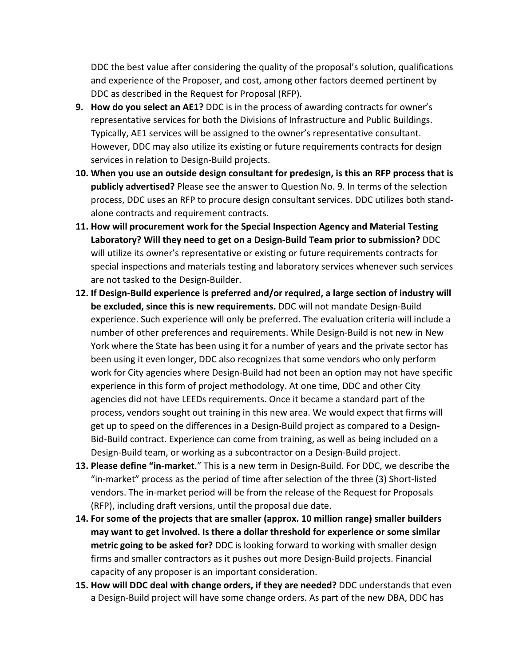DDC the best value after considering the quality of the proposal's solution, qualifications and experience of the Proposer, and cost, among other factors deemed pertinent by DDC as described in the Request for Proposal (RFP).

- **9. How do you select an AE1?** DDC is in the process of awarding contracts for owner's representative services for both the Divisions of Infrastructure and Public Buildings. Typically, AE1 services will be assigned to the owner's representative consultant. However, DDC may also utilize its existing or future requirements contracts for design services in relation to Design-Build projects.
- **10. When you use an outside design consultant for predesign, is this an RFP process that is publicly advertised?** Please see the answer to Question No. 9. In terms of the selection process, DDC uses an RFP to procure design consultant services. DDC utilizes both standalone contracts and requirement contracts.
- **11. How will procurement work for the Special Inspection Agency and Material Testing Laboratory? Will they need to get on a Design-Build Team prior to submission?** DDC will utilize its owner's representative or existing or future requirements contracts for special inspections and materials testing and laboratory services whenever such services are not tasked to the Design-Builder.
- **12. If Design-Build experience is preferred and/or required, a large section of industry will be excluded, since this is new requirements.** DDC will not mandate Design-Build experience. Such experience will only be preferred. The evaluation criteria will include a number of other preferences and requirements. While Design-Build is not new in New York where the State has been using it for a number of years and the private sector has been using it even longer, DDC also recognizes that some vendors who only perform work for City agencies where Design-Build had not been an option may not have specific experience in this form of project methodology. At one time, DDC and other City agencies did not have LEEDs requirements. Once it became a standard part of the process, vendors sought out training in this new area. We would expect that firms will get up to speed on the differences in a Design-Build project as compared to a Design-Bid-Build contract. Experience can come from training, as well as being included on a Design-Build team, or working as a subcontractor on a Design-Build project.
- **13. Please define "in-market**." This is a new term in Design-Build. For DDC, we describe the "in-market" process as the period of time after selection of the three (3) Short-listed vendors. The in-market period will be from the release of the Request for Proposals (RFP), including draft versions, until the proposal due date.
- **14. For some of the projects that are smaller (approx. 10 million range) smaller builders may want to get involved. Is there a dollar threshold for experience or some similar metric going to be asked for?** DDC is looking forward to working with smaller design firms and smaller contractors as it pushes out more Design-Build projects. Financial capacity of any proposer is an important consideration.
- **15. How will DDC deal with change orders, if they are needed?** DDC understands that even a Design-Build project will have some change orders. As part of the new DBA, DDC has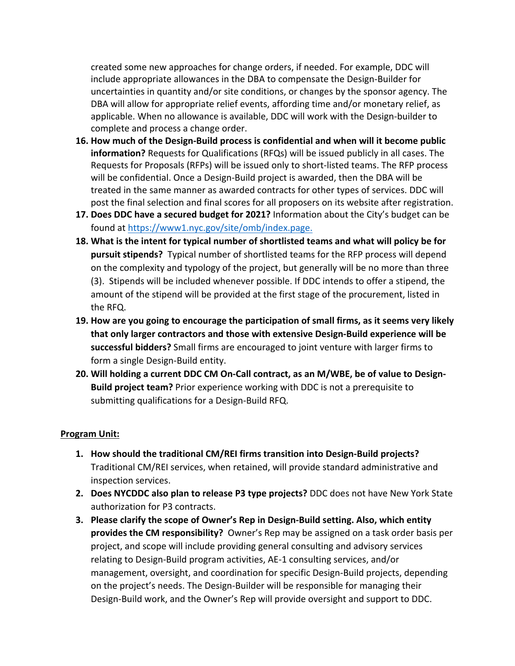created some new approaches for change orders, if needed. For example, DDC will include appropriate allowances in the DBA to compensate the Design-Builder for uncertainties in quantity and/or site conditions, or changes by the sponsor agency. The DBA will allow for appropriate relief events, affording time and/or monetary relief, as applicable. When no allowance is available, DDC will work with the Design-builder to complete and process a change order.

- **16. How much of the Design-Build process is confidential and when will it become public information?** Requests for Qualifications (RFQs) will be issued publicly in all cases. The Requests for Proposals (RFPs) will be issued only to short-listed teams. The RFP process will be confidential. Once a Design-Build project is awarded, then the DBA will be treated in the same manner as awarded contracts for other types of services. DDC will post the final selection and final scores for all proposers on its website after registration.
- **17. Does DDC have a secured budget for 2021?** Information about the City's budget can be found at https://www1.nyc.gov/site/omb/index.page.
- **18. What is the intent for typical number of shortlisted teams and what will policy be for pursuit stipends?** Typical number of shortlisted teams for the RFP process will depend on the complexity and typology of the project, but generally will be no more than three (3). Stipends will be included whenever possible. If DDC intends to offer a stipend, the amount of the stipend will be provided at the first stage of the procurement, listed in the RFQ.
- **19. How are you going to encourage the participation of small firms, as it seems very likely that only larger contractors and those with extensive Design-Build experience will be successful bidders?** Small firms are encouraged to joint venture with larger firms to form a single Design-Build entity.
- **20. Will holding a current DDC CM On-Call contract, as an M/WBE, be of value to Design-Build project team?** Prior experience working with DDC is not a prerequisite to submitting qualifications for a Design-Build RFQ.

#### **Program Unit:**

- **1. How should the traditional CM/REI firms transition into Design-Build projects?**  Traditional CM/REI services, when retained, will provide standard administrative and inspection services.
- **2. Does NYCDDC also plan to release P3 type projects?** DDC does not have New York State authorization for P3 contracts.
- **3. Please clarify the scope of Owner's Rep in Design-Build setting. Also, which entity provides the CM responsibility?** Owner's Rep may be assigned on a task order basis per project, and scope will include providing general consulting and advisory services relating to Design-Build program activities, AE-1 consulting services, and/or management, oversight, and coordination for specific Design-Build projects, depending on the project's needs. The Design-Builder will be responsible for managing their Design-Build work, and the Owner's Rep will provide oversight and support to DDC.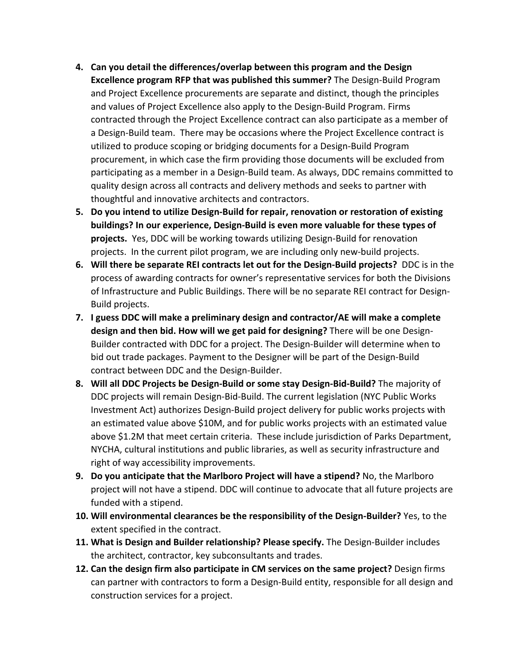- **4. Can you detail the differences/overlap between this program and the Design Excellence program RFP that was published this summer?** The Design-Build Program and Project Excellence procurements are separate and distinct, though the principles and values of Project Excellence also apply to the Design-Build Program. Firms contracted through the Project Excellence contract can also participate as a member of a Design-Build team. There may be occasions where the Project Excellence contract is utilized to produce scoping or bridging documents for a Design-Build Program procurement, in which case the firm providing those documents will be excluded from participating as a member in a Design-Build team. As always, DDC remains committed to quality design across all contracts and delivery methods and seeks to partner with thoughtful and innovative architects and contractors.
- **5. Do you intend to utilize Design-Build for repair, renovation or restoration of existing buildings? In our experience, Design-Build is even more valuable for these types of projects.** Yes, DDC will be working towards utilizing Design-Build for renovation projects. In the current pilot program, we are including only new-build projects.
- **6. Will there be separate REI contracts let out for the Design-Build projects?** DDC is in the process of awarding contracts for owner's representative services for both the Divisions of Infrastructure and Public Buildings. There will be no separate REI contract for Design-Build projects.
- **7. I guess DDC will make a preliminary design and contractor/AE will make a complete design and then bid. How will we get paid for designing?** There will be one Design-Builder contracted with DDC for a project. The Design-Builder will determine when to bid out trade packages. Payment to the Designer will be part of the Design-Build contract between DDC and the Design-Builder.
- **8. Will all DDC Projects be Design-Build or some stay Design-Bid-Build?** The majority of DDC projects will remain Design-Bid-Build. The current legislation (NYC Public Works Investment Act) authorizes Design-Build project delivery for public works projects with an estimated value above \$10M, and for public works projects with an estimated value above \$1.2M that meet certain criteria. These include jurisdiction of Parks Department, NYCHA, cultural institutions and public libraries, as well as security infrastructure and right of way accessibility improvements.
- **9. Do you anticipate that the Marlboro Project will have a stipend?** No, the Marlboro project will not have a stipend. DDC will continue to advocate that all future projects are funded with a stipend.
- **10. Will environmental clearances be the responsibility of the Design-Builder?** Yes, to the extent specified in the contract.
- **11. What is Design and Builder relationship? Please specify.** The Design-Builder includes the architect, contractor, key subconsultants and trades.
- **12. Can the design firm also participate in CM services on the same project?** Design firms can partner with contractors to form a Design-Build entity, responsible for all design and construction services for a project.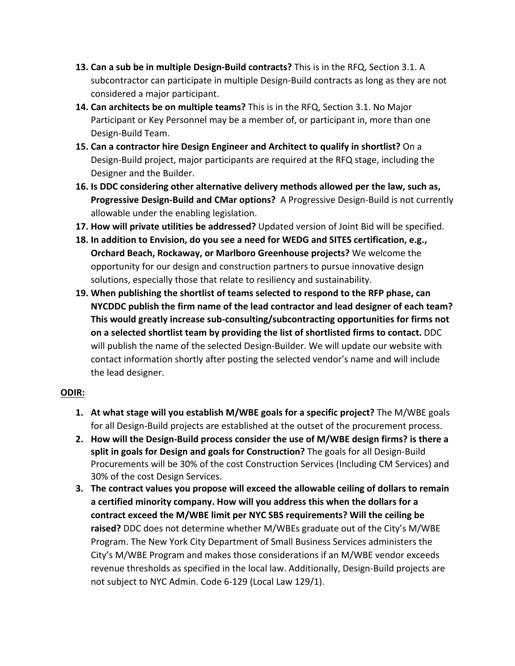- **13. Can a sub be in multiple Design-Build contracts?** This is in the RFQ, Section 3.1. A subcontractor can participate in multiple Design-Build contracts as long as they are not considered a major participant.
- **14. Can architects be on multiple teams?** This is in the RFQ, Section 3.1. No Major Participant or Key Personnel may be a member of, or participant in, more than one Design-Build Team.
- **15. Can a contractor hire Design Engineer and Architect to qualify in shortlist?** On a Design-Build project, major participants are required at the RFQ stage, including the Designer and the Builder.
- **16. Is DDC considering other alternative delivery methods allowed per the law, such as, Progressive Design-Build and CMar options?** A Progressive Design-Build is not currently allowable under the enabling legislation.
- **17. How will private utilities be addressed?** Updated version of Joint Bid will be specified.
- **18. In addition to Envision, do you see a need for WEDG and SITES certification, e.g., Orchard Beach, Rockaway, or Marlboro Greenhouse projects?** We welcome the opportunity for our design and construction partners to pursue innovative design solutions, especially those that relate to resiliency and sustainability.
- **19. When publishing the shortlist of teams selected to respond to the RFP phase, can NYCDDC publish the firm name of the lead contractor and lead designer of each team? This would greatly increase sub-consulting/subcontracting opportunities for firms not on a selected shortlist team by providing the list of shortlisted firms to contact.** DDC will publish the name of the selected Design-Builder. We will update our website with contact information shortly after posting the selected vendor's name and will include the lead designer.

## **ODIR:**

- **1. At what stage will you establish M/WBE goals for a specific project?** The M/WBE goals for all Design-Build projects are established at the outset of the procurement process.
- **2. How will the Design-Build process consider the use of M/WBE design firms? is there a split in goals for Design and goals for Construction?** The goals for all Design-Build Procurements will be 30% of the cost Construction Services (Including CM Services) and 30% of the cost Design Services.
- **3. The contract values you propose will exceed the allowable ceiling of dollars to remain a certified minority company. How will you address this when the dollars for a contract exceed the M/WBE limit per NYC SBS requirements? Will the ceiling be raised?** DDC does not determine whether M/WBEs graduate out of the City's M/WBE Program. The New York City Department of Small Business Services administers the City's M/WBE Program and makes those considerations if an M/WBE vendor exceeds revenue thresholds as specified in the local law. Additionally, Design-Build projects are not subject to NYC Admin. Code 6-129 (Local Law 129/1).